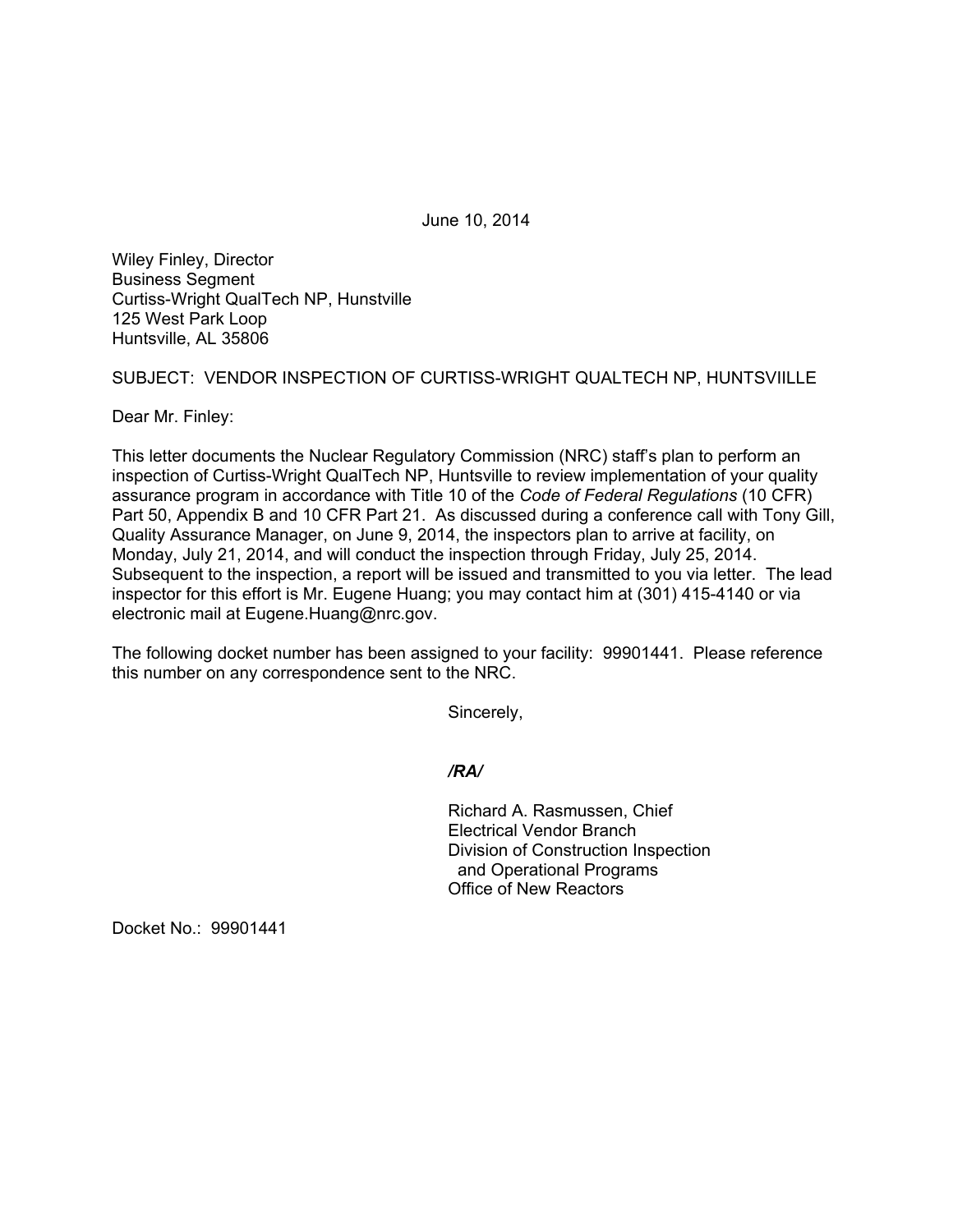June 10, 2014

Wiley Finley, Director Business Segment Curtiss-Wright QualTech NP, Hunstville 125 West Park Loop Huntsville, AL 35806

SUBJECT: VENDOR INSPECTION OF CURTISS-WRIGHT QUALTECH NP, HUNTSVIILLE

Dear Mr. Finley:

This letter documents the Nuclear Regulatory Commission (NRC) staff's plan to perform an inspection of Curtiss-Wright QualTech NP, Huntsville to review implementation of your quality assurance program in accordance with Title 10 of the *Code of Federal Regulations* (10 CFR) Part 50, Appendix B and 10 CFR Part 21. As discussed during a conference call with Tony Gill, Quality Assurance Manager, on June 9, 2014, the inspectors plan to arrive at facility, on Monday, July 21, 2014, and will conduct the inspection through Friday, July 25, 2014. Subsequent to the inspection, a report will be issued and transmitted to you via letter. The lead inspector for this effort is Mr. Eugene Huang; you may contact him at (301) 415-4140 or via electronic mail at Eugene.Huang@nrc.gov.

The following docket number has been assigned to your facility: 99901441. Please reference this number on any correspondence sent to the NRC.

Sincerely,

*/RA/* 

Richard A. Rasmussen, Chief Electrical Vendor Branch Division of Construction Inspection and Operational Programs Office of New Reactors

Docket No.: 99901441